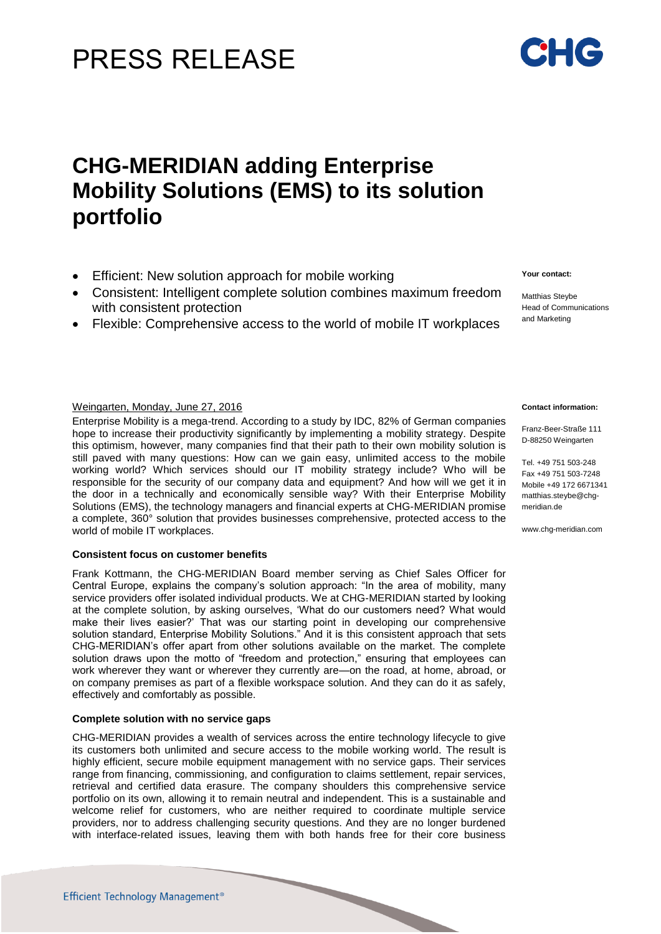# PRESS RELEASE

## **CHG-MERIDIAN adding Enterprise Mobility Solutions (EMS) to its solution portfolio**

- Efficient: New solution approach for mobile working
- Consistent: Intelligent complete solution combines maximum freedom with consistent protection
- Flexible: Comprehensive access to the world of mobile IT workplaces

### Weingarten, Monday, June 27, 2016 **Contact information:** Contact information:

Enterprise Mobility is a mega-trend. According to a study by IDC, 82% of German companies hope to increase their productivity significantly by implementing a mobility strategy. Despite this optimism, however, many companies find that their path to their own mobility solution is still paved with many questions: How can we gain easy, unlimited access to the mobile working world? Which services should our IT mobility strategy include? Who will be responsible for the security of our company data and equipment? And how will we get it in the door in a technically and economically sensible way? With their Enterprise Mobility Solutions (EMS), the technology managers and financial experts at CHG-MERIDIAN promise a complete, 360° solution that provides businesses comprehensive, protected access to the world of mobile IT workplaces.

### **Consistent focus on customer benefits**

Frank Kottmann, the CHG-MERIDIAN Board member serving as Chief Sales Officer for Central Europe, explains the company's solution approach: "In the area of mobility, many service providers offer isolated individual products. We at CHG-MERIDIAN started by looking at the complete solution, by asking ourselves, 'What do our customers need? What would make their lives easier?' That was our starting point in developing our comprehensive solution standard, Enterprise Mobility Solutions." And it is this consistent approach that sets CHG-MERIDIAN's offer apart from other solutions available on the market. The complete solution draws upon the motto of "freedom and protection," ensuring that employees can work wherever they want or wherever they currently are—on the road, at home, abroad, or on company premises as part of a flexible workspace solution. And they can do it as safely, effectively and comfortably as possible.

### **Complete solution with no service gaps**

CHG-MERIDIAN provides a wealth of services across the entire technology lifecycle to give its customers both unlimited and secure access to the mobile working world. The result is highly efficient, secure mobile equipment management with no service gaps. Their services range from financing, commissioning, and configuration to claims settlement, repair services, retrieval and certified data erasure. The company shoulders this comprehensive service portfolio on its own, allowing it to remain neutral and independent. This is a sustainable and welcome relief for customers, who are neither required to coordinate multiple service providers, nor to address challenging security questions. And they are no longer burdened with interface-related issues, leaving them with both hands free for their core business

## and Marketing

**Your contact:**

Matthias Steybe Head of Communications

Franz-Beer-Straße 111 D-88250 Weingarten

Tel. +49 751 503-248 Fax +49 751 503-7248 Mobile +49 172 6671341 [matthias.steybe@chg](mailto:matthias.steybe@chg-)meridian.de

www.chg-meridian.com